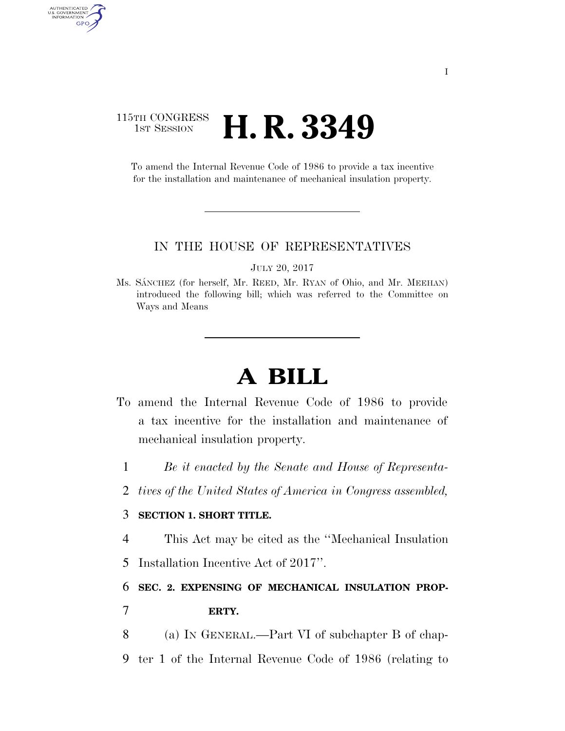# 115TH CONGRESS **1st Session H. R. 3349**

AUTHENTICATED<br>U.S. GOVERNMENT<br>INFORMATION

GPO

To amend the Internal Revenue Code of 1986 to provide a tax incentive for the installation and maintenance of mechanical insulation property.

### IN THE HOUSE OF REPRESENTATIVES

JULY 20, 2017

Ms. SANCHEZ (for herself, Mr. REED, Mr. RYAN of Ohio, and Mr. MEEHAN) introduced the following bill; which was referred to the Committee on Ways and Means

# **A BILL**

- To amend the Internal Revenue Code of 1986 to provide a tax incentive for the installation and maintenance of mechanical insulation property.
	- 1 *Be it enacted by the Senate and House of Representa-*
	- 2 *tives of the United States of America in Congress assembled,*

## 3 **SECTION 1. SHORT TITLE.**

4 This Act may be cited as the ''Mechanical Insulation

5 Installation Incentive Act of 2017''.

6 **SEC. 2. EXPENSING OF MECHANICAL INSULATION PROP-**7 **ERTY.** 

- 8 (a) IN GENERAL.—Part VI of subchapter B of chap-
- 9 ter 1 of the Internal Revenue Code of 1986 (relating to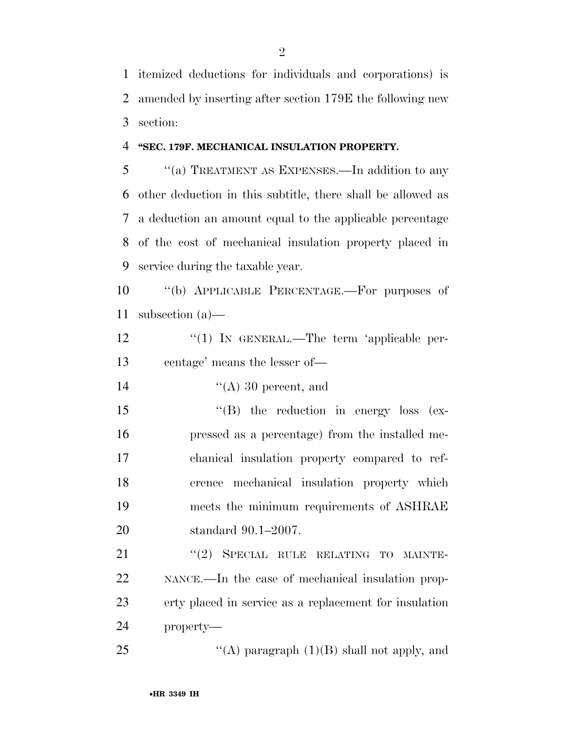itemized deductions for individuals and corporations) is amended by inserting after section 179E the following new section:

#### **''SEC. 179F. MECHANICAL INSULATION PROPERTY.**

 ''(a) TREATMENT AS EXPENSES.—In addition to any other deduction in this subtitle, there shall be allowed as a deduction an amount equal to the applicable percentage of the cost of mechanical insulation property placed in service during the taxable year.

 ''(b) APPLICABLE PERCENTAGE.—For purposes of subsection (a)—

12 "(1) IN GENERAL.—The term 'applicable per-centage' means the lesser of—

14  $''(A)$  30 percent, and

 ''(B) the reduction in energy loss (ex- pressed as a percentage) from the installed me- chanical insulation property compared to ref- erence mechanical insulation property which meets the minimum requirements of ASHRAE standard 90.1–2007.

21 "(2) SPECIAL RULE RELATING TO MAINTE- NANCE.—In the case of mechanical insulation prop- erty placed in service as a replacement for insulation property—

25  $\langle (A)$  paragraph  $(1)(B)$  shall not apply, and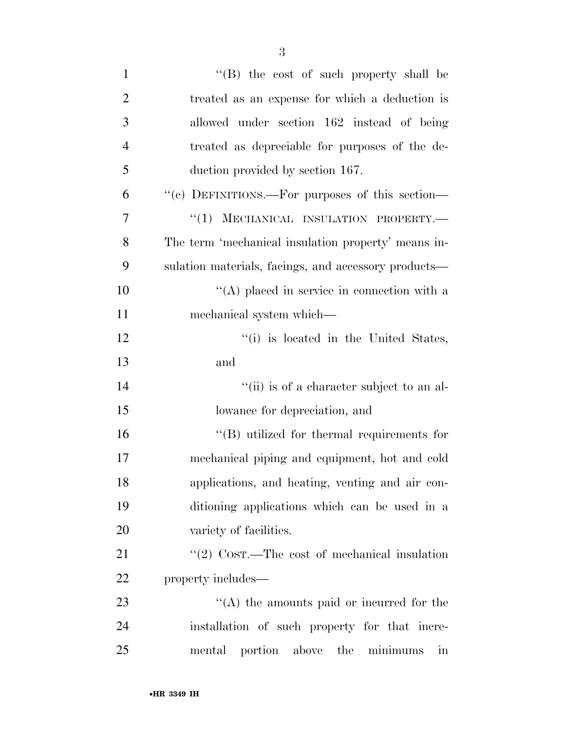| $\mathbf{1}$   | $\lq\lq$ the cost of such property shall be                 |
|----------------|-------------------------------------------------------------|
| $\overline{2}$ | treated as an expense for which a deduction is              |
| 3              | allowed under section 162 instead of being                  |
| $\overline{4}$ | treated as depreciable for purposes of the de-              |
| 5              | duction provided by section 167.                            |
| 6              | "(c) DEFINITIONS.—For purposes of this section—             |
| $\overline{7}$ | "(1) MECHANICAL INSULATION PROPERTY.-                       |
| 8              | The term 'mechanical insulation property' means in-         |
| 9              | sulation materials, facings, and accessory products—        |
| 10             | $\lq (A)$ placed in service in connection with a            |
| 11             | mechanical system which—                                    |
| 12             | "(i) is located in the United States,                       |
| 13             | and                                                         |
| 14             | "(ii) is of a character subject to an al-                   |
| 15             | lowance for depreciation, and                               |
| 16             | $\cdot$ (B) utilized for thermal requirements for           |
| 17             | mechanical piping and equipment, hot and cold               |
| 18             | applications, and heating, venting and air con-             |
| 19             | ditioning applications which can be used in a               |
| $20\,$         | variety of facilities.                                      |
| 21             | "(2) $\text{COST.}$ The cost of mechanical insulation       |
| 22             | property includes—                                          |
| 23             | $\lq\lq$ the amounts paid or incurred for the               |
| 24             | installation of such property for that incre-               |
| 25             | mental portion above the<br>minimums<br>$\operatorname{in}$ |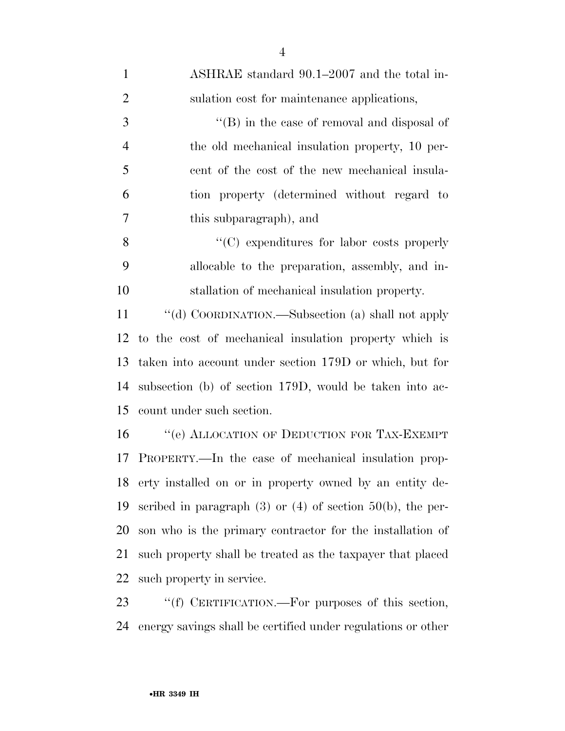| $\mathbf{1}$   | ASHRAE standard 90.1–2007 and the total in-                       |
|----------------|-------------------------------------------------------------------|
| $\overline{2}$ | sulation cost for maintenance applications,                       |
| 3              | $\lq\lq$ (B) in the case of removal and disposal of               |
| $\overline{4}$ | the old mechanical insulation property, 10 per-                   |
| 5              | cent of the cost of the new mechanical insula-                    |
| 6              | tion property (determined without regard to                       |
| 7              | this subparagraph), and                                           |
| 8              | $\cdot$ (C) expenditures for labor costs properly                 |
| 9              | allocable to the preparation, assembly, and in-                   |
| 10             | stallation of mechanical insulation property.                     |
| 11             | "(d) COORDINATION.—Subsection (a) shall not apply                 |
| 12             | to the cost of mechanical insulation property which is            |
| 13             | taken into account under section 179D or which, but for           |
| 14             | subsection (b) of section 179D, would be taken into ac-           |
| 15             | count under such section.                                         |
| 16             | "(e) ALLOCATION OF DEDUCTION FOR TAX-EXEMPT                       |
| 17             | PROPERTY.—In the case of mechanical insulation prop-              |
| 18             | erty installed on or in property owned by an entity de-           |
| 19             | scribed in paragraph $(3)$ or $(4)$ of section $50(b)$ , the per- |
| 20             | son who is the primary contractor for the installation of         |
| 21             | such property shall be treated as the taxpayer that placed        |
| 22             | such property in service.                                         |
| 23             | "(f) CERTIFICATION.—For purposes of this section,                 |

energy savings shall be certified under regulations or other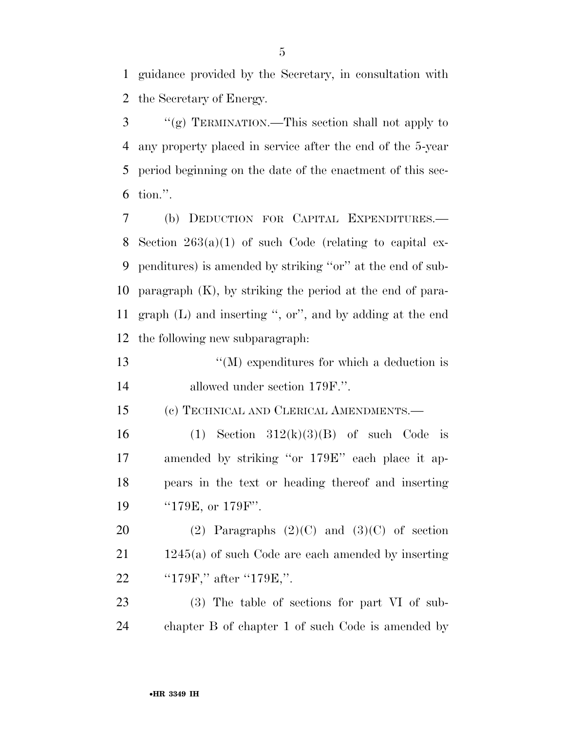guidance provided by the Secretary, in consultation with the Secretary of Energy.

 ''(g) TERMINATION.—This section shall not apply to any property placed in service after the end of the 5-year period beginning on the date of the enactment of this sec-tion.''.

 (b) DEDUCTION FOR CAPITAL EXPENDITURES.— Section 263(a)(1) of such Code (relating to capital ex- penditures) is amended by striking ''or'' at the end of sub- paragraph (K), by striking the period at the end of para- graph (L) and inserting '', or'', and by adding at the end the following new subparagraph:

 ''(M) expenditures for which a deduction is allowed under section 179F.''.

(c) TECHNICAL AND CLERICAL AMENDMENTS.—

16 (1) Section  $312(k)(3)(B)$  of such Code is amended by striking ''or 179E'' each place it ap- pears in the text or heading thereof and inserting 19 ''179E, or 179F''.

20 (2) Paragraphs  $(2)(C)$  and  $(3)(C)$  of section 1245(a) of such Code are each amended by inserting ''179F,'' after ''179E,''.

 (3) The table of sections for part VI of sub-chapter B of chapter 1 of such Code is amended by